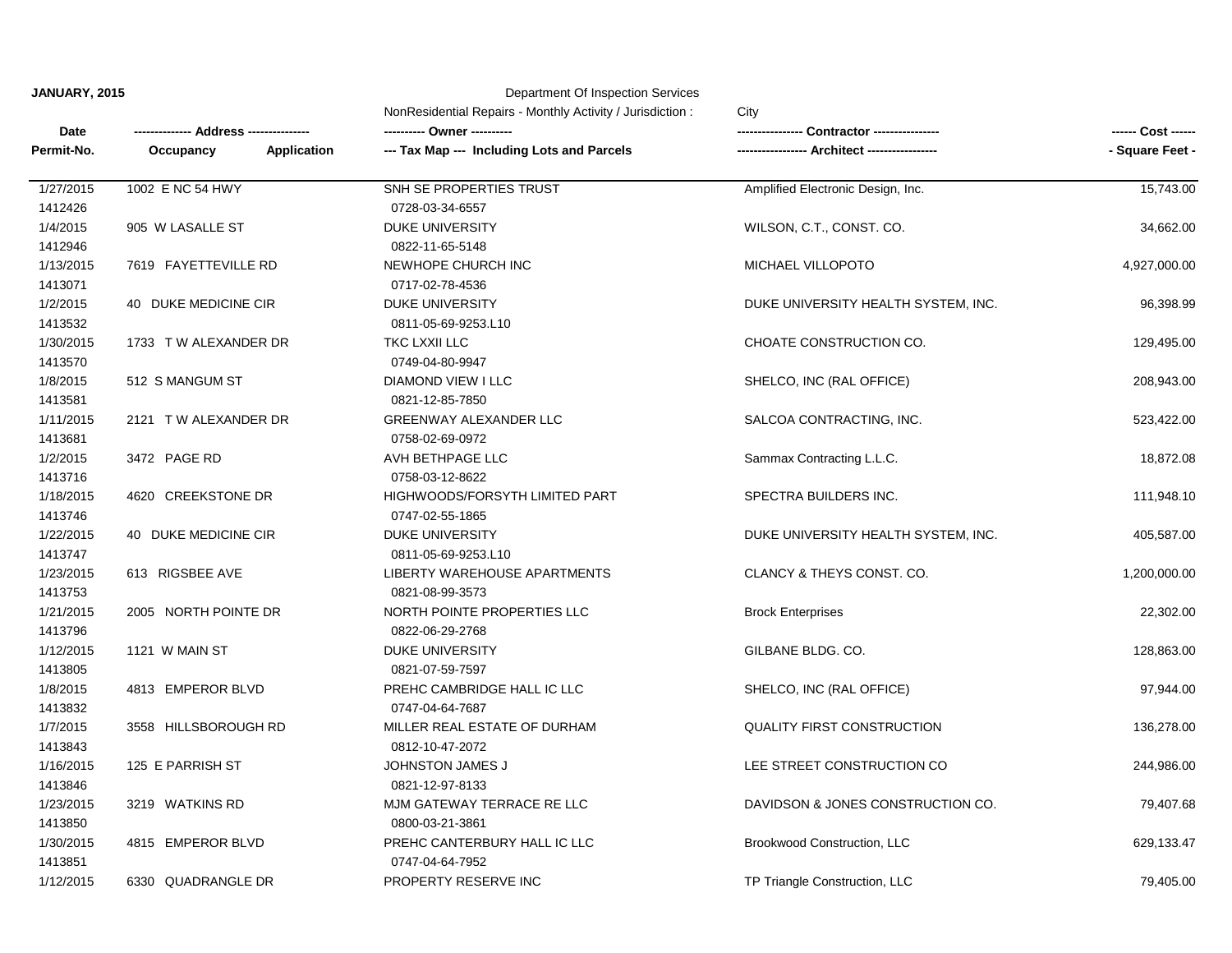## **JANUARY, 2015** Department Of Inspection Services

|            |                                 | NonResidential Repairs - Monthly Activity / Jurisdiction:<br>City |                                     |                 |
|------------|---------------------------------|-------------------------------------------------------------------|-------------------------------------|-----------------|
| Date       | Address -----                   |                                                                   | Contractor -------                  |                 |
| Permit-No. | Occupancy<br><b>Application</b> | --- Tax Map --- Including Lots and Parcels                        |                                     | - Square Feet - |
| 1/27/2015  | 1002 E NC 54 HWY                | SNH SE PROPERTIES TRUST                                           | Amplified Electronic Design, Inc.   | 15,743.00       |
| 1412426    |                                 | 0728-03-34-6557                                                   |                                     |                 |
| 1/4/2015   | 905 W LASALLE ST                | <b>DUKE UNIVERSITY</b>                                            | WILSON, C.T., CONST. CO.            | 34,662.00       |
| 1412946    |                                 | 0822-11-65-5148                                                   |                                     |                 |
| 1/13/2015  | 7619 FAYETTEVILLE RD            | NEWHOPE CHURCH INC                                                | MICHAEL VILLOPOTO                   | 4,927,000.00    |
| 1413071    |                                 | 0717-02-78-4536                                                   |                                     |                 |
| 1/2/2015   | 40 DUKE MEDICINE CIR            | <b>DUKE UNIVERSITY</b>                                            | DUKE UNIVERSITY HEALTH SYSTEM, INC. | 96,398.99       |
| 1413532    |                                 | 0811-05-69-9253.L10                                               |                                     |                 |
| 1/30/2015  | 1733 TW ALEXANDER DR            | TKC LXXII LLC                                                     | CHOATE CONSTRUCTION CO.             | 129,495.00      |
| 1413570    |                                 | 0749-04-80-9947                                                   |                                     |                 |
| 1/8/2015   | 512 S MANGUM ST                 | <b>DIAMOND VIEW I LLC</b>                                         | SHELCO, INC (RAL OFFICE)            | 208,943.00      |
| 1413581    |                                 | 0821-12-85-7850                                                   |                                     |                 |
| 1/11/2015  | 2121 TW ALEXANDER DR            | <b>GREENWAY ALEXANDER LLC</b>                                     | SALCOA CONTRACTING, INC.            | 523,422.00      |
| 1413681    |                                 | 0758-02-69-0972                                                   |                                     |                 |
| 1/2/2015   | 3472 PAGE RD                    | AVH BETHPAGE LLC                                                  | Sammax Contracting L.L.C.           | 18,872.08       |
| 1413716    |                                 | 0758-03-12-8622                                                   |                                     |                 |
| 1/18/2015  | 4620 CREEKSTONE DR              | HIGHWOODS/FORSYTH LIMITED PART                                    | SPECTRA BUILDERS INC.               | 111,948.10      |
| 1413746    |                                 | 0747-02-55-1865                                                   |                                     |                 |
| 1/22/2015  | 40 DUKE MEDICINE CIR            | <b>DUKE UNIVERSITY</b>                                            | DUKE UNIVERSITY HEALTH SYSTEM, INC. | 405,587.00      |
| 1413747    |                                 | 0811-05-69-9253.L10                                               |                                     |                 |
| 1/23/2015  | 613 RIGSBEE AVE                 | LIBERTY WAREHOUSE APARTMENTS                                      | CLANCY & THEYS CONST. CO.           | 1,200,000.00    |
| 1413753    |                                 | 0821-08-99-3573                                                   |                                     |                 |
| 1/21/2015  | 2005 NORTH POINTE DR            | NORTH POINTE PROPERTIES LLC                                       | <b>Brock Enterprises</b>            | 22,302.00       |
| 1413796    |                                 | 0822-06-29-2768                                                   |                                     |                 |
| 1/12/2015  | 1121 W MAIN ST                  | <b>DUKE UNIVERSITY</b>                                            | GILBANE BLDG. CO.                   | 128,863.00      |
| 1413805    |                                 | 0821-07-59-7597                                                   |                                     |                 |
| 1/8/2015   | 4813 EMPEROR BLVD               | PREHC CAMBRIDGE HALL IC LLC                                       | SHELCO, INC (RAL OFFICE)            | 97,944.00       |
| 1413832    |                                 | 0747-04-64-7687                                                   |                                     |                 |
| 1/7/2015   | 3558 HILLSBOROUGH RD            | MILLER REAL ESTATE OF DURHAM                                      | <b>QUALITY FIRST CONSTRUCTION</b>   | 136,278.00      |
| 1413843    |                                 | 0812-10-47-2072                                                   |                                     |                 |
| 1/16/2015  | 125 E PARRISH ST                | <b>JOHNSTON JAMES J</b>                                           | LEE STREET CONSTRUCTION CO          | 244,986.00      |
| 1413846    |                                 | 0821-12-97-8133                                                   |                                     |                 |
| 1/23/2015  | 3219 WATKINS RD                 | MJM GATEWAY TERRACE RE LLC                                        | DAVIDSON & JONES CONSTRUCTION CO.   | 79,407.68       |
| 1413850    |                                 | 0800-03-21-3861                                                   |                                     |                 |
| 1/30/2015  | 4815 EMPEROR BLVD               | PREHC CANTERBURY HALL IC LLC                                      | Brookwood Construction, LLC         | 629,133.47      |
| 1413851    |                                 | 0747-04-64-7952                                                   |                                     |                 |
| 1/12/2015  | 6330 QUADRANGLE DR              | PROPERTY RESERVE INC                                              | TP Triangle Construction, LLC       | 79,405.00       |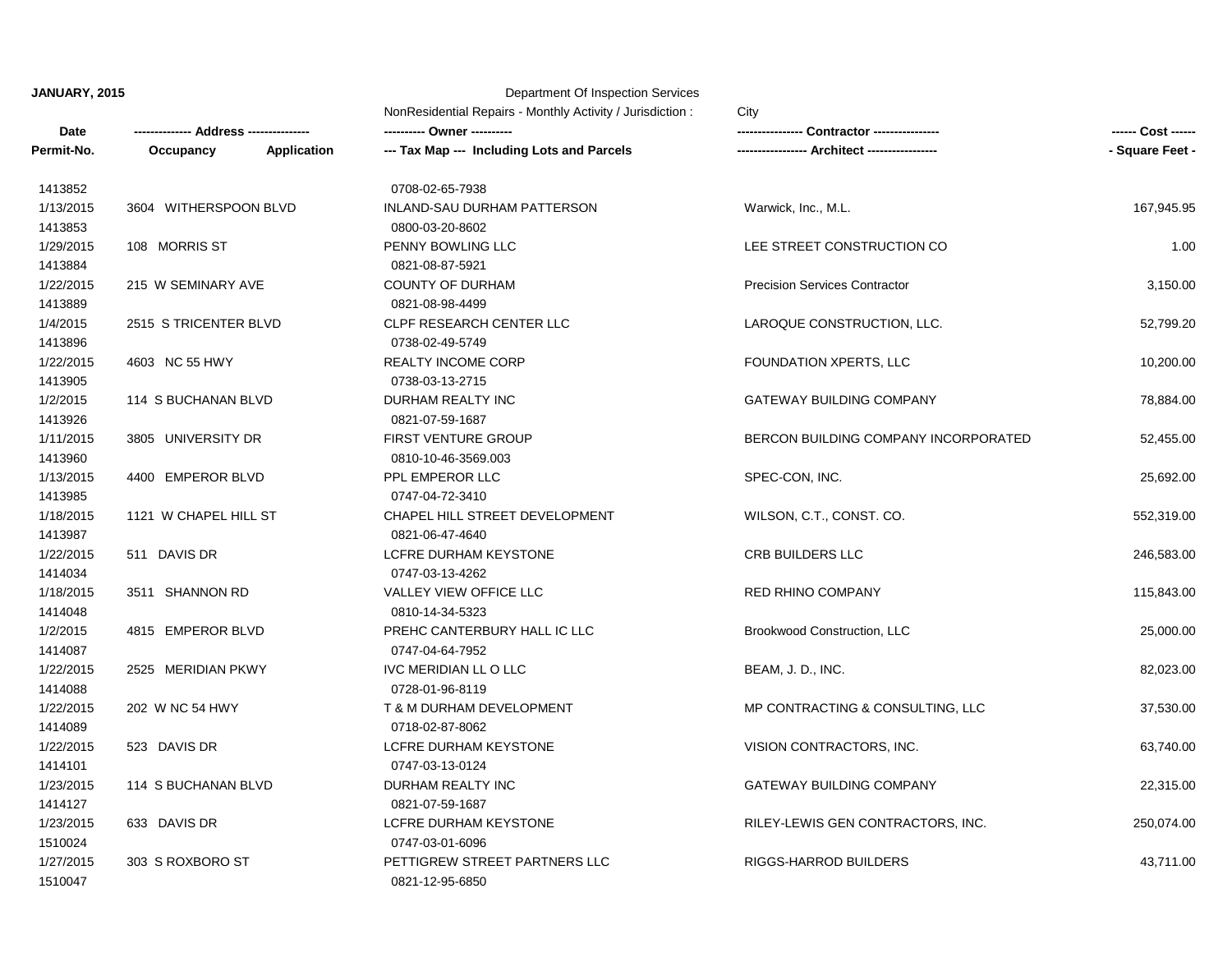**JANUARY, 2015** Department Of Inspection Services

|            | Address ------        |                    | NonResidential Repairs - Monthly Activity / Jurisdiction:<br>City |                                      |                 |
|------------|-----------------------|--------------------|-------------------------------------------------------------------|--------------------------------------|-----------------|
| Date       |                       |                    |                                                                   | <b>Contractor ------------</b>       |                 |
| Permit-No. | Occupancy             | <b>Application</b> | --- Tax Map --- Including Lots and Parcels                        |                                      | - Square Feet - |
| 1413852    |                       |                    | 0708-02-65-7938                                                   |                                      |                 |
| 1/13/2015  | 3604 WITHERSPOON BLVD |                    | <b>INLAND-SAU DURHAM PATTERSON</b>                                | Warwick, Inc., M.L.                  | 167,945.95      |
| 1413853    |                       |                    | 0800-03-20-8602                                                   |                                      |                 |
| 1/29/2015  | 108 MORRIS ST         |                    | PENNY BOWLING LLC                                                 | LEE STREET CONSTRUCTION CO           | 1.00            |
| 1413884    |                       |                    | 0821-08-87-5921                                                   |                                      |                 |
| 1/22/2015  | 215 W SEMINARY AVE    |                    | <b>COUNTY OF DURHAM</b>                                           | <b>Precision Services Contractor</b> | 3,150.00        |
| 1413889    |                       |                    | 0821-08-98-4499                                                   |                                      |                 |
| 1/4/2015   | 2515 STRICENTER BLVD  |                    | CLPF RESEARCH CENTER LLC                                          | LAROQUE CONSTRUCTION, LLC.           | 52,799.20       |
| 1413896    |                       |                    | 0738-02-49-5749                                                   |                                      |                 |
| 1/22/2015  | 4603 NC 55 HWY        |                    | <b>REALTY INCOME CORP</b>                                         | FOUNDATION XPERTS, LLC               | 10,200.00       |
| 1413905    |                       |                    | 0738-03-13-2715                                                   |                                      |                 |
| 1/2/2015   | 114 S BUCHANAN BLVD   |                    | DURHAM REALTY INC                                                 | <b>GATEWAY BUILDING COMPANY</b>      | 78,884.00       |
| 1413926    |                       |                    | 0821-07-59-1687                                                   |                                      |                 |
| 1/11/2015  | 3805 UNIVERSITY DR    |                    | <b>FIRST VENTURE GROUP</b>                                        | BERCON BUILDING COMPANY INCORPORATED | 52,455.00       |
| 1413960    |                       |                    | 0810-10-46-3569.003                                               |                                      |                 |
| 1/13/2015  | 4400 EMPEROR BLVD     |                    | PPL EMPEROR LLC                                                   | SPEC-CON, INC.                       | 25,692.00       |
| 1413985    |                       |                    | 0747-04-72-3410                                                   |                                      |                 |
| 1/18/2015  | 1121 W CHAPEL HILL ST |                    | CHAPEL HILL STREET DEVELOPMENT                                    | WILSON, C.T., CONST. CO.             | 552,319.00      |
| 1413987    |                       |                    | 0821-06-47-4640                                                   |                                      |                 |
| 1/22/2015  | 511 DAVIS DR          |                    | LCFRE DURHAM KEYSTONE                                             | CRB BUILDERS LLC                     | 246,583.00      |
| 1414034    |                       |                    | 0747-03-13-4262                                                   |                                      |                 |
| 1/18/2015  | 3511 SHANNON RD       |                    | VALLEY VIEW OFFICE LLC                                            | <b>RED RHINO COMPANY</b>             | 115,843.00      |
| 1414048    |                       |                    | 0810-14-34-5323                                                   |                                      |                 |
| 1/2/2015   | 4815 EMPEROR BLVD     |                    | PREHC CANTERBURY HALL IC LLC                                      | Brookwood Construction, LLC          | 25,000.00       |
| 1414087    |                       |                    | 0747-04-64-7952                                                   |                                      |                 |
| 1/22/2015  | 2525 MERIDIAN PKWY    |                    | IVC MERIDIAN LL O LLC                                             | BEAM, J. D., INC.                    | 82,023.00       |
| 1414088    |                       |                    | 0728-01-96-8119                                                   |                                      |                 |
| 1/22/2015  | 202 W NC 54 HWY       |                    | T & M DURHAM DEVELOPMENT                                          | MP CONTRACTING & CONSULTING, LLC     | 37,530.00       |
| 1414089    |                       |                    | 0718-02-87-8062                                                   |                                      |                 |
| 1/22/2015  | 523 DAVIS DR          |                    | LCFRE DURHAM KEYSTONE                                             | VISION CONTRACTORS, INC.             | 63,740.00       |
| 1414101    |                       |                    | 0747-03-13-0124                                                   |                                      |                 |
| 1/23/2015  | 114 S BUCHANAN BLVD   |                    | DURHAM REALTY INC                                                 | <b>GATEWAY BUILDING COMPANY</b>      | 22,315.00       |
| 1414127    |                       |                    | 0821-07-59-1687                                                   |                                      |                 |
| 1/23/2015  | 633 DAVIS DR          |                    | LCFRE DURHAM KEYSTONE                                             | RILEY-LEWIS GEN CONTRACTORS, INC.    | 250,074.00      |
| 1510024    |                       |                    | 0747-03-01-6096                                                   |                                      |                 |
| 1/27/2015  | 303 S ROXBORO ST      |                    | PETTIGREW STREET PARTNERS LLC                                     | <b>RIGGS-HARROD BUILDERS</b>         | 43,711.00       |
| 1510047    |                       |                    | 0821-12-95-6850                                                   |                                      |                 |